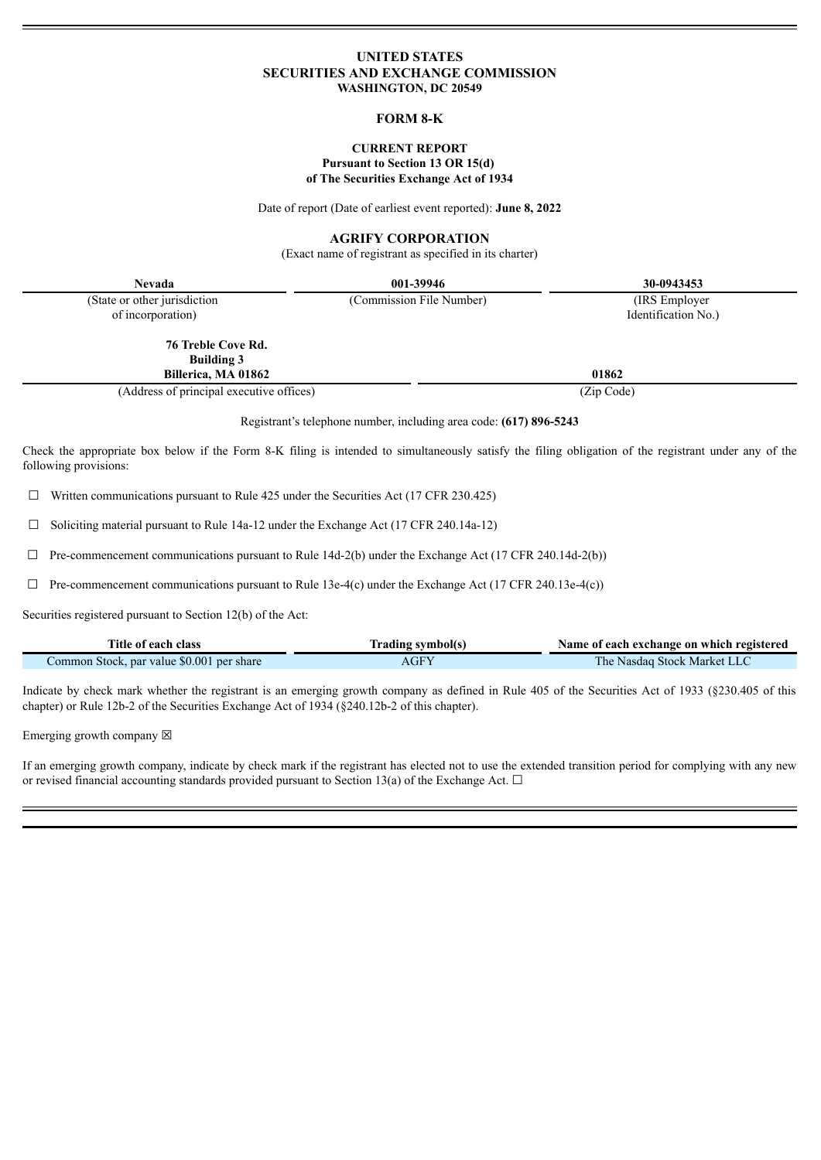# **UNITED STATES SECURITIES AND EXCHANGE COMMISSION WASHINGTON, DC 20549**

### **FORM 8-K**

# **CURRENT REPORT Pursuant to Section 13 OR 15(d) of The Securities Exchange Act of 1934**

Date of report (Date of earliest event reported): **June 8, 2022**

# **AGRIFY CORPORATION**

(Exact name of registrant as specified in its charter)

| <b>Nevada</b>                            | 001-39946                                                          | 30-0943453          |
|------------------------------------------|--------------------------------------------------------------------|---------------------|
| (State or other jurisdiction             | (Commission File Number)                                           | (IRS Employer)      |
| of incorporation)                        |                                                                    | Identification No.) |
| 76 Treble Cove Rd.<br><b>Building 3</b>  |                                                                    |                     |
| Billerica, MA 01862                      |                                                                    | 01862               |
| (Address of principal executive offices) |                                                                    | (Zip Code)          |
|                                          | Registrant's telephone number, including area code: (617) 896-5243 |                     |

Check the appropriate box below if the Form 8-K filing is intended to simultaneously satisfy the filing obligation of the registrant under any of the following provisions:

 $\Box$  Written communications pursuant to Rule 425 under the Securities Act (17 CFR 230.425)

☐ Soliciting material pursuant to Rule 14a-12 under the Exchange Act (17 CFR 240.14a-12)

 $\Box$  Pre-commencement communications pursuant to Rule 14d-2(b) under the Exchange Act (17 CFR 240.14d-2(b))

 $\Box$  Pre-commencement communications pursuant to Rule 13e-4(c) under the Exchange Act (17 CFR 240.13e-4(c))

Securities registered pursuant to Section 12(b) of the Act:

| Title of each class                       | Trading symbol(s) | Name of each exchange on which registered |
|-------------------------------------------|-------------------|-------------------------------------------|
| Common Stock, par value \$0.001 per share | AGFY              | The Nasdag Stock Market LLC               |

Indicate by check mark whether the registrant is an emerging growth company as defined in Rule 405 of the Securities Act of 1933 (§230.405 of this chapter) or Rule 12b-2 of the Securities Exchange Act of 1934 (§240.12b-2 of this chapter).

Emerging growth company  $\boxtimes$ 

If an emerging growth company, indicate by check mark if the registrant has elected not to use the extended transition period for complying with any new or revised financial accounting standards provided pursuant to Section 13(a) of the Exchange Act.  $\Box$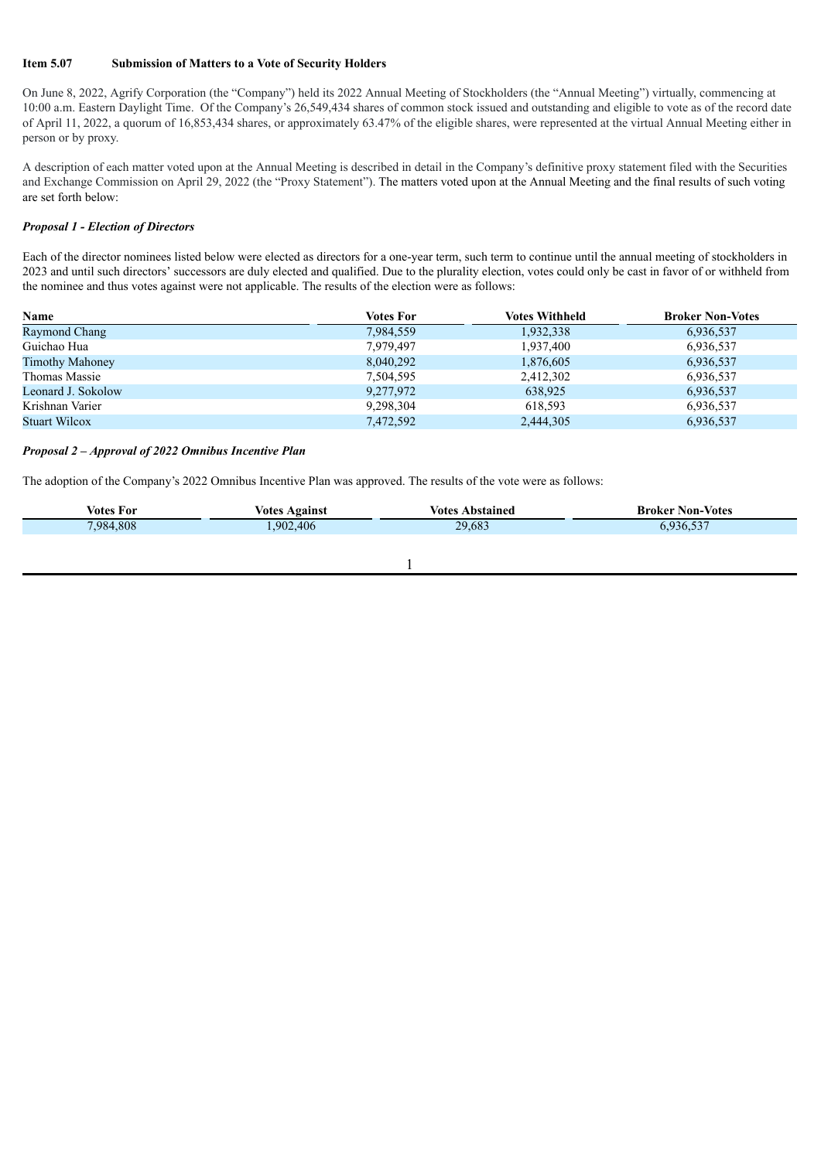# **Item 5.07 Submission of Matters to a Vote of Security Holders**

On June 8, 2022, Agrify Corporation (the "Company") held its 2022 Annual Meeting of Stockholders (the "Annual Meeting") virtually, commencing at 10:00 a.m. Eastern Daylight Time. Of the Company's 26,549,434 shares of common stock issued and outstanding and eligible to vote as of the record date of April 11, 2022, a quorum of 16,853,434 shares, or approximately 63.47% of the eligible shares, were represented at the virtual Annual Meeting either in person or by proxy.

A description of each matter voted upon at the Annual Meeting is described in detail in the Company's definitive proxy statement filed with the Securities and Exchange Commission on April 29, 2022 (the "Proxy Statement"). The matters voted upon at the Annual Meeting and the final results of such voting are set forth below:

# *Proposal 1 - Election of Directors*

Each of the director nominees listed below were elected as directors for a one-year term, such term to continue until the annual meeting of stockholders in 2023 and until such directors' successors are duly elected and qualified. Due to the plurality election, votes could only be cast in favor of or withheld from the nominee and thus votes against were not applicable. The results of the election were as follows:

| Name                   | Votes For | <b>Votes Withheld</b> | <b>Broker Non-Votes</b> |
|------------------------|-----------|-----------------------|-------------------------|
| Raymond Chang          | 7,984,559 | 1,932,338             | 6,936,537               |
| Guichao Hua            | 7,979,497 | 1,937,400             | 6,936,537               |
| <b>Timothy Mahoney</b> | 8,040,292 | 1,876,605             | 6,936,537               |
| Thomas Massie          | 7,504,595 | 2,412,302             | 6,936,537               |
| Leonard J. Sokolow     | 9,277,972 | 638,925               | 6,936,537               |
| Krishnan Varier        | 9,298,304 | 618,593               | 6,936,537               |
| <b>Stuart Wilcox</b>   | 7,472,592 | 2,444,305             | 6,936,537               |

#### *Proposal 2 – Approval of 2022 Omnibus Incentive Plan*

The adoption of the Company's 2022 Omnibus Incentive Plan was approved. The results of the vote were as follows:

| <b>Votes For</b> | Votes<br>Against | votes<br>Abstained | <b>Broker Non-Votes</b>      |
|------------------|------------------|--------------------|------------------------------|
| ',984,808        | .902.406         | 29,683             | $F \cap T$<br>$\leq$ 936.55. |
|                  |                  |                    |                              |

# 1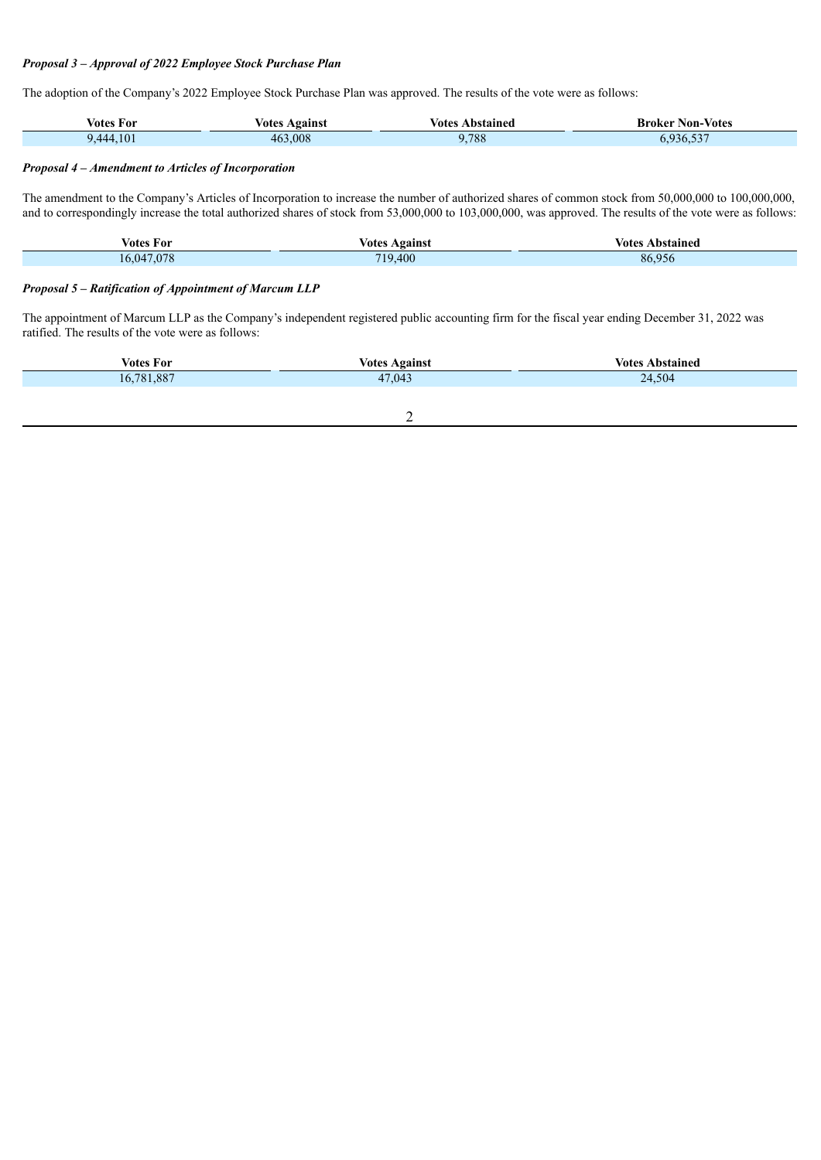# *Proposal 3 – Approval of 2022 Employee Stock Purchase Plan*

The adoption of the Company's 2022 Employee Stock Purchase Plan was approved. The results of the vote were as follows:

| Votes For | Against<br>Votes | votes<br>Abstained | <b>Broker Non-Votes</b> |
|-----------|------------------|--------------------|-------------------------|
| 9.444.101 | 463,008          | 9,788              | 0.936527<br>נגטעי       |

### *Proposal 4 – Amendment to Articles of Incorporation*

The amendment to the Company's Articles of Incorporation to increase the number of authorized shares of common stock from 50,000,000 to 100,000,000, and to correspondingly increase the total authorized shares of stock from 53,000,000 to 103,000,000, was approved. The results of the vote were as follows:

|            | Against      | Votes     |
|------------|--------------|-----------|
| Votes For  | <b>Votes</b> | Abstained |
| 16.047.078 | 719.400      | 86,956    |

# *Proposal 5 – Ratification of Appointment of Marcum LLP*

The appointment of Marcum LLP as the Company's independent registered public accounting firm for the fiscal year ending December 31, 2022 was ratified. The results of the vote were as follows:

| <b>Votes For</b> | <b>Votes Against</b> | <b>Votes Abstained</b> |
|------------------|----------------------|------------------------|
| 16,781,887       | 47,043               | 24,504                 |
|                  |                      |                        |

2